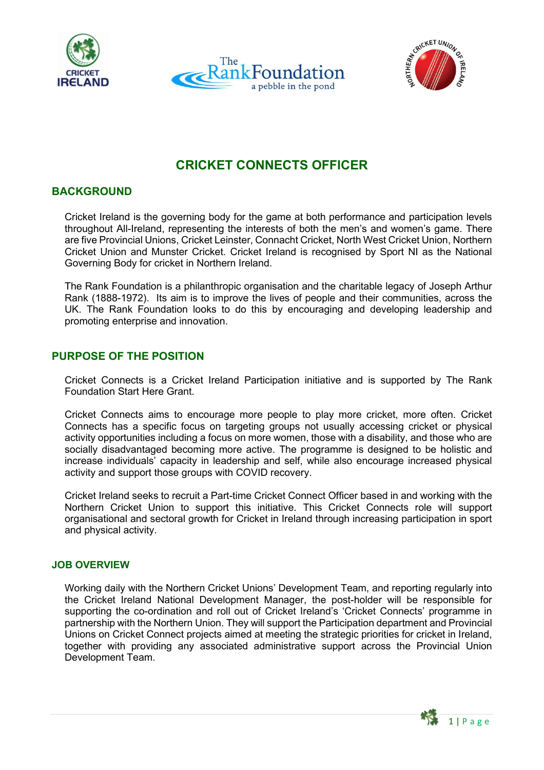





# **CRICKET CONNECTS OFFICER**

# **BACKGROUND**

Cricket Ireland is the governing body for the game at both performance and participation levels throughout All-Ireland, representing the interests of both the men's and women's game. There are five Provincial Unions, Cricket Leinster, Connacht Cricket, North West Cricket Union, Northern Cricket Union and Munster Cricket. Cricket Ireland is recognised by Sport NI as the National Governing Body for cricket in Northern Ireland.

The Rank Foundation is a philanthropic organisation and the charitable legacy of Joseph Arthur Rank (1888-1972). Its aim is to improve the lives of people and their communities, across the UK. The Rank Foundation looks to do this by encouraging and developing leadership and promoting enterprise and innovation.

### **PURPOSE OF THE POSITION**

Cricket Connects is a Cricket Ireland Participation initiative and is supported by The Rank Foundation Start Here Grant.

Cricket Connects aims to encourage more people to play more cricket, more often. Cricket Connects has a specific focus on targeting groups not usually accessing cricket or physical activity opportunities including a focus on more women, those with a disability, and those who are socially disadvantaged becoming more active. The programme is designed to be holistic and increase individuals' capacity in leadership and self, while also encourage increased physical activity and support those groups with COVID recovery.

Cricket Ireland seeks to recruit a Part-time Cricket Connect Officer based in and working with the Northern Cricket Union to support this initiative. This Cricket Connects role will support organisational and sectoral growth for Cricket in Ireland through increasing participation in sport and physical activity.

#### **JOB OVERVIEW**

Working daily with the Northern Cricket Unions' Development Team, and reporting regularly into the Cricket Ireland National Development Manager, the post-holder will be responsible for supporting the co-ordination and roll out of Cricket Ireland's 'Cricket Connects' programme in partnership with the Northern Union. They will support the Participation department and Provincial Unions on Cricket Connect projects aimed at meeting the strategic priorities for cricket in Ireland, together with providing any associated administrative support across the Provincial Union Development Team.

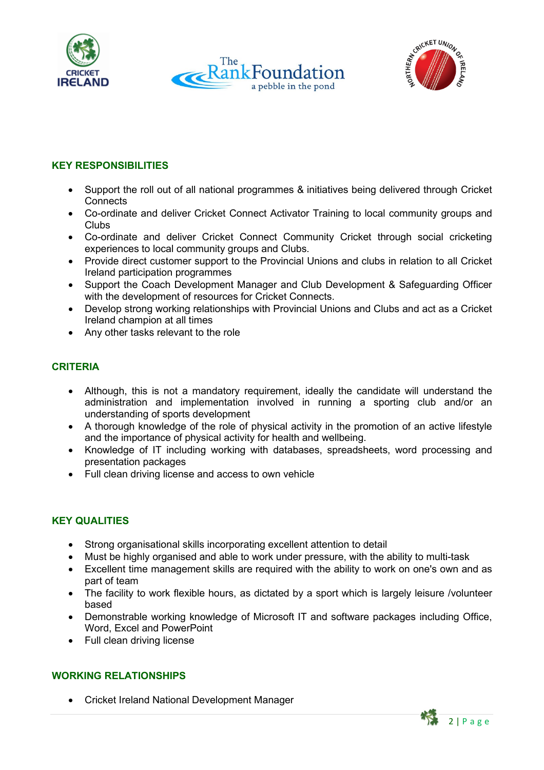





# **KEY RESPONSIBILITIES**

- Support the roll out of all national programmes & initiatives being delivered through Cricket **Connects**
- Co-ordinate and deliver Cricket Connect Activator Training to local community groups and Clubs
- Co-ordinate and deliver Cricket Connect Community Cricket through social cricketing experiences to local community groups and Clubs.
- Provide direct customer support to the Provincial Unions and clubs in relation to all Cricket Ireland participation programmes
- Support the Coach Development Manager and Club Development & Safeguarding Officer with the development of resources for Cricket Connects.
- Develop strong working relationships with Provincial Unions and Clubs and act as a Cricket Ireland champion at all times
- Any other tasks relevant to the role

# **CRITERIA**

- Although, this is not a mandatory requirement, ideally the candidate will understand the administration and implementation involved in running a sporting club and/or an understanding of sports development
- A thorough knowledge of the role of physical activity in the promotion of an active lifestyle and the importance of physical activity for health and wellbeing.
- Knowledge of IT including working with databases, spreadsheets, word processing and presentation packages
- Full clean driving license and access to own vehicle

# **KEY QUALITIES**

- Strong organisational skills incorporating excellent attention to detail
- Must be highly organised and able to work under pressure, with the ability to multi-task
- Excellent time management skills are required with the ability to work on one's own and as part of team
- The facility to work flexible hours, as dictated by a sport which is largely leisure /volunteer based
- Demonstrable working knowledge of Microsoft IT and software packages including Office, Word, Excel and PowerPoint
- Full clean driving license

# **WORKING RELATIONSHIPS**

• Cricket Ireland National Development Manager